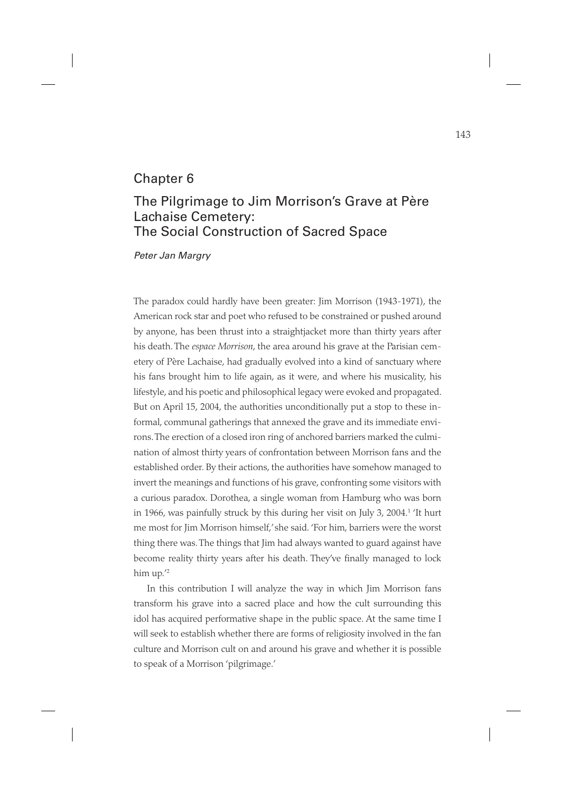## Chapter 6

# The Pilgrimage to Jim Morrison's Grave at Père Lachaise Cemetery: The Social Construction of Sacred Space

### *Peter Jan Margry*

The paradox could hardly have been greater: Jim Morrison (1943-1971), the American rock star and poet who refused to be constrained or pushed around by anyone, has been thrust into a straightjacket more than thirty years after his death. The *espace Morrison*, the area around his grave at the Parisian cemetery of Père Lachaise, had gradually evolved into a kind of sanctuary where his fans brought him to life again, as it were, and where his musicality, his lifestyle, and his poetic and philosophical legacy were evoked and propagated. But on April 15, 2004, the authorities unconditionally put a stop to these informal, communal gatherings that annexed the grave and its immediate environs. The erection of a closed iron ring of anchored barriers marked the culmination of almost thirty years of confrontation between Morrison fans and the established order. By their actions, the authorities have somehow managed to invert the meanings and functions of his grave, confronting some visitors with a curious paradox. Dorothea, a single woman from Hamburg who was born in 1966, was painfully struck by this during her visit on July 3, 2004.<sup>1</sup> 'It hurt me most for Jim Morrison himself,' she said. 'For him, barriers were the worst thing there was. The things that Jim had always wanted to guard against have become reality thirty years after his death. They've finally managed to lock him up.'2

 In this contribution I will analyze the way in which Jim Morrison fans transform his grave into a sacred place and how the cult surrounding this idol has acquired performative shape in the public space. At the same time I will seek to establish whether there are forms of religiosity involved in the fan culture and Morrison cult on and around his grave and whether it is possible to speak of a Morrison 'pilgrimage.'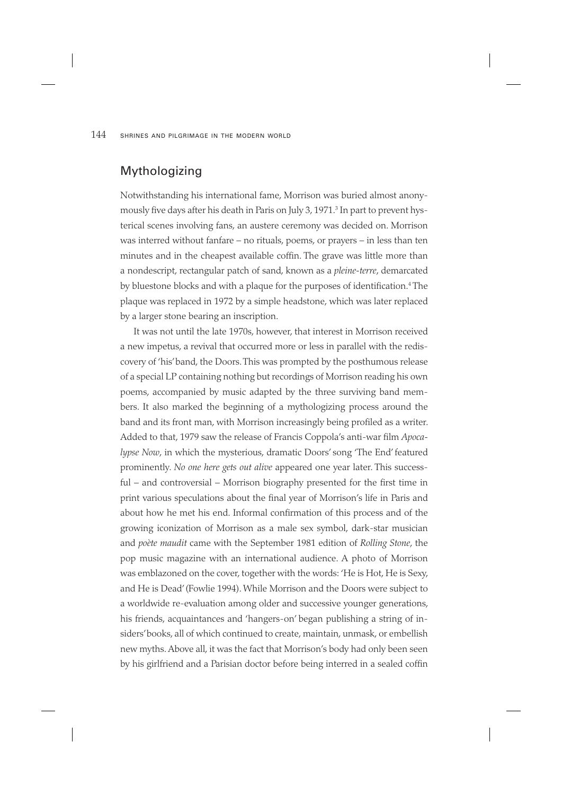# Mythologizing

Notwithstanding his international fame, Morrison was buried almost anonymously five days after his death in Paris on July 3, 1971.<sup>3</sup> In part to prevent hysterical scenes involving fans, an austere ceremony was decided on. Morrison was interred without fanfare – no rituals, poems, or prayers – in less than ten minutes and in the cheapest available coffin. The grave was little more than a nondescript, rectangular patch of sand, known as a *pleine-terre*, demarcated by bluestone blocks and with a plaque for the purposes of identification.<sup>4</sup> The plaque was replaced in 1972 by a simple headstone, which was later replaced by a larger stone bearing an inscription.

 It was not until the late 1970s, however, that interest in Morrison received a new impetus, a revival that occurred more or less in parallel with the rediscovery of 'his' band, the Doors . This was prompted by the posthumous release of a special LP containing nothing but recordings of Morrison reading his own poems, accompanied by music adapted by the three surviving band members. It also marked the beginning of a mythologizing process around the band and its front man, with Morrison increasingly being profiled as a writer. Added to that, 1979 saw the release of Francis Coppola's anti-war film *Apocalypse Now*, in which the mysterious, dramatic Doors' song 'The End' featured prominently. *No one here gets out alive* appeared one year later. This successful – and controversial – Morrison biography presented for the first time in print various speculations about the final year of Morrison's life in Paris and about how he met his end. Informal confirmation of this process and of the growing iconization of Morrison as a male sex symbol, dark-star musician and *poète maudit* came with the September 1981 edition of *Rolling Stone*, the pop music magazine with an international audience. A photo of Morrison was emblazoned on the cover, together with the words: 'He is Hot, He is Sexy, and He is Dead' (Fowlie 1994). While Morrison and the Doors were subject to a worldwide re-evaluation among older and successive younger generations, his friends, acquaintances and 'hangers-on' began publishing a string of insiders' books, all of which continued to create, maintain, unmask, or embellish new myths. Above all, it was the fact that Morrison's body had only been seen by his girlfriend and a Parisian doctor before being interred in a sealed coffin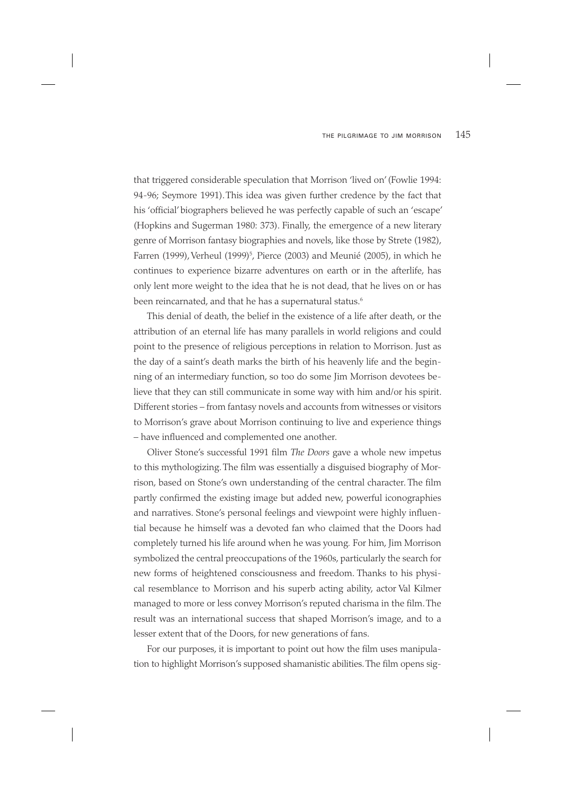that triggered considerable speculation that Morrison 'lived on' (Fowlie 1994: 94-96; Seymore 1991).This idea was given further credence by the fact that his 'official' biographers believed he was perfectly capable of such an 'escape' (Hopkins and Sugerman 1980: 373). Finally, the emergence of a new literary genre of Morrison fantasy biographies and novels, like those by Strete (1982), Farren (1999), Verheul (1999)<sup>5</sup>, Pierce (2003) and Meunié (2005), in which he continues to experience bizarre adventures on earth or in the afterlife, has only lent more weight to the idea that he is not dead, that he lives on or has been reincarnated, and that he has a supernatural status.<sup>6</sup>

 This denial of death, the belief in the existence of a life after death, or the attribution of an eternal life has many parallels in world religions and could point to the presence of religious perceptions in relation to Morrison . Just as the day of a saint's death marks the birth of his heavenly life and the beginning of an intermediary function, so too do some Jim Morrison devotees believe that they can still communicate in some way with him and/or his spirit. Different stories – from fantasy novels and accounts from witnesses or visitors to Morrison's grave about Morrison continuing to live and experience things – have influenced and complemented one another.

Oliver Stone's successful 1991 film *The Doors* gave a whole new impetus to this mythologizing. The film was essentially a disguised biography of Morrison, based on Stone's own understanding of the central character. The film partly confirmed the existing image but added new, powerful iconographies and narratives. Stone's personal feelings and viewpoint were highly influential because he himself was a devoted fan who claimed that the Doors had completely turned his life around when he was young*.* For him, Jim Morrison symbolized the central preoccupations of the 1960s, particularly the search for new forms of heightened consciousness and freedom. Thanks to his physical resemblance to Morrison and his superb acting ability, actor Val Kilmer managed to more or less convey Morrison's reputed charisma in the film. The result was an international success that shaped Morrison's image, and to a lesser extent that of the Doors, for new generations of fans.

For our purposes, it is important to point out how the film uses manipulation to highlight Morrison's supposed shamanistic abilities. The film opens sig-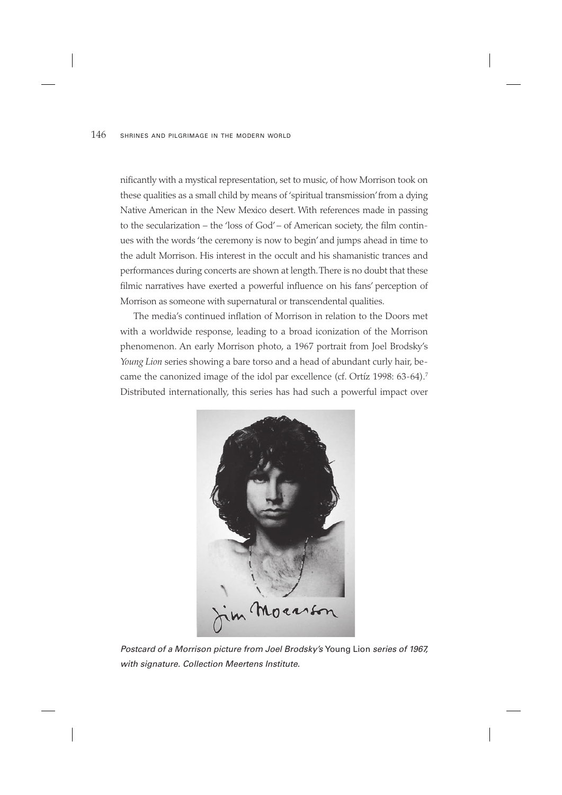nificantly with a mystical representation, set to music, of how Morrison took on these qualities as a small child by means of 'spiritual transmission' from a dying Native American in the New Mexico desert. With references made in passing to the secularization – the 'loss of  $God'$  – of American society, the film continues with the words 'the ceremony is now to begin' and jumps ahead in time to the adult Morrison. His interest in the occult and his shamanistic trances and performances during concerts are shown at length. There is no doubt that these filmic narratives have exerted a powerful influence on his fans' perception of Morrison as someone with supernatural or transcendental qualities.

The media's continued inflation of Morrison in relation to the Doors met with a worldwide response, leading to a broad iconization of the Morrison phenomenon. An early Morrison photo, a 1967 portrait from Joel Brodsky's *Young Lion* series showing a bare torso and a head of abundant curly hair, became the canonized image of the idol par excellence (cf. Ortíz 1998: 63-64).<sup>7</sup> Distributed internationally, this series has had such a powerful impact over



*Postcard of a Morrison picture from Joel Brodsky's* Young Lion *series of 1967, with signature. Collection Meertens Institute.*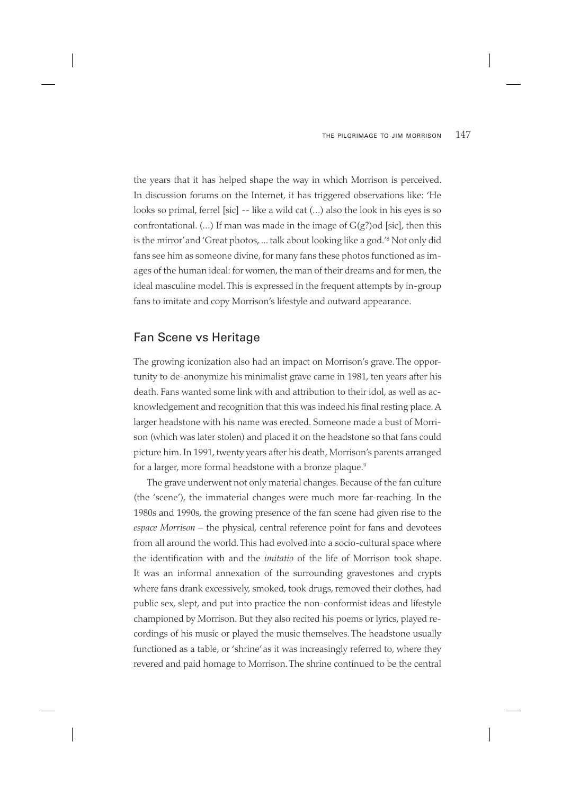the years that it has helped shape the way in which Morrison is perceived. In discussion forums on the Internet, it has triggered observations like: 'He looks so primal, ferrel [sic] -- like a wild cat (...) also the look in his eyes is so confrontational.  $(...)$  If man was made in the image of  $G(g?)$ od [sic], then this is the mirror' and 'Great photos, ... talk about looking like a god.'<sup>8</sup> Not only did fans see him as someone divine, for many fans these photos functioned as images of the human ideal: for women, the man of their dreams and for men, the ideal masculine model. This is expressed in the frequent attempts by in-group fans to imitate and copy Morrison's lifestyle and outward appearance.

## Fan Scene vs Heritage

The growing iconization also had an impact on Morrison's grave. The opportunity to de-anonymize his minimalist grave came in 1981, ten years after his death. Fans wanted some link with and attribution to their idol, as well as acknowledgement and recognition that this was indeed his final resting place. A larger headstone with his name was erected. Someone made a bust of Morrison (which was later stolen) and placed it on the headstone so that fans could picture him. In 1991, twenty years after his death, Morrison's parents arranged for a larger, more formal headstone with a bronze plaque.<sup>9</sup>

 The grave underwent not only material changes. Because of the fan culture (the 'scene'), the immaterial changes were much more far-reaching. In the 1980s and 1990s, the growing presence of the fan scene had given rise to the *espace Morrison* – the physical, central reference point for fans and devotees from all around the world. This had evolved into a socio-cultural space where the identification with and the *imitatio* of the life of Morrison took shape. It was an informal annexation of the surrounding gravestones and crypts where fans drank excessively, smoked, took drugs, removed their clothes, had public sex, slept, and put into practice the non-conformist ideas and lifestyle championed by Morrison. But they also recited his poems or lyrics, played recordings of his music or played the music themselves. The headstone usually functioned as a table, or 'shrine' as it was increasingly referred to, where they revered and paid homage to Morrison. The shrine continued to be the central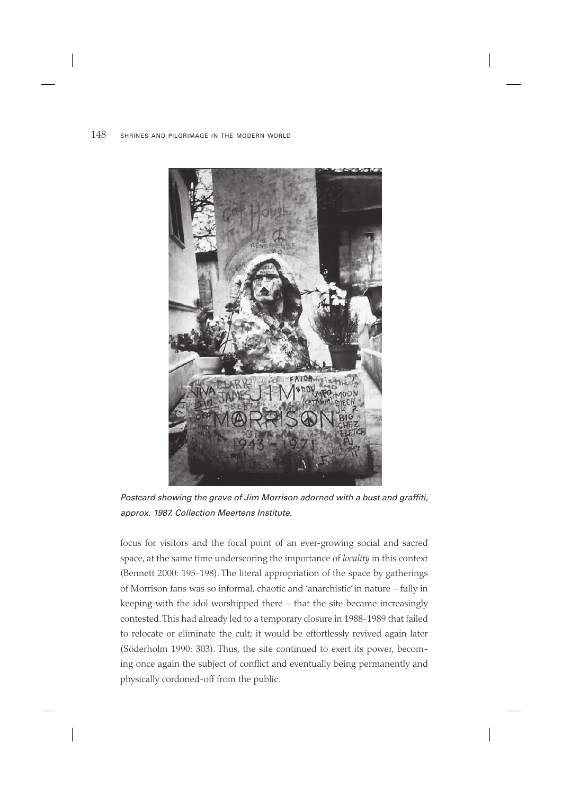

*Postcard showing the grave of Jim Morrison adorned with a bust and graffiti, approx. 1987. Collection Meertens Institute.*

focus for visitors and the focal point of an ever-growing social and sacred space, at the same time underscoring the importance of *locality* in this context (Bennett 2000: 195-198). The literal appropriation of the space by gatherings of Morrison fans was so informal, chaotic and 'anarchistic' in nature – fully in keeping with the idol worshipped there – that the site became increasingly contested. This had already led to a temporary closure in 1988-1989 that failed to relocate or eliminate the cult; it would be effortlessly revived again later (Söderholm 1990: 303). Thus, the site continued to exert its power, becoming once again the subject of conflict and eventually being permanently and physically cordoned-off from the public.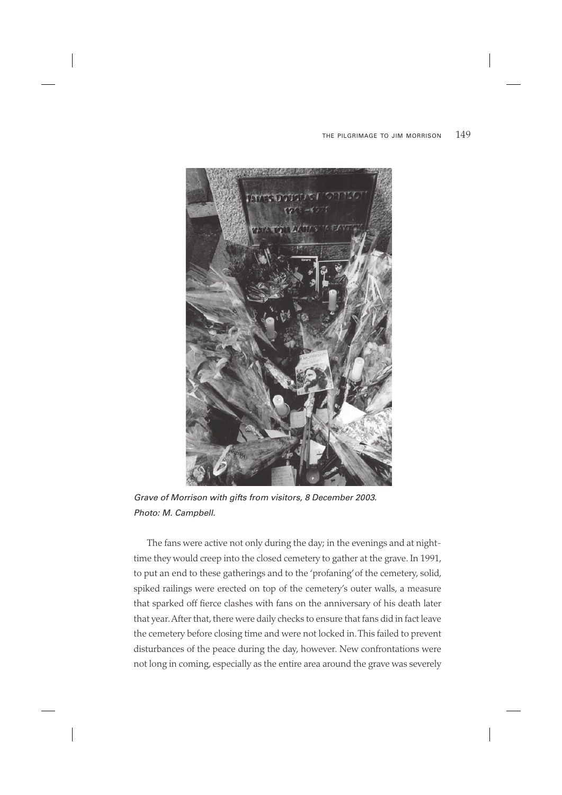#### 149 THE PILGRIMAGE TO JIM MORRISON



*Grave of Morrison with gifts from visitors, 8 December 2003. Photo: M. Campbell.*

 The fans were active not only during the day; in the evenings and at nighttime they would creep into the closed cemetery to gather at the grave. In 1991, to put an end to these gatherings and to the 'profaning' of the cemetery, solid, spiked railings were erected on top of the cemetery's outer walls, a measure that sparked off fierce clashes with fans on the anniversary of his death later that year. After that, there were daily checks to ensure that fans did in fact leave the cemetery before closing time and were not locked in. This failed to prevent disturbances of the peace during the day, however. New confrontations were not long in coming, especially as the entire area around the grave was severely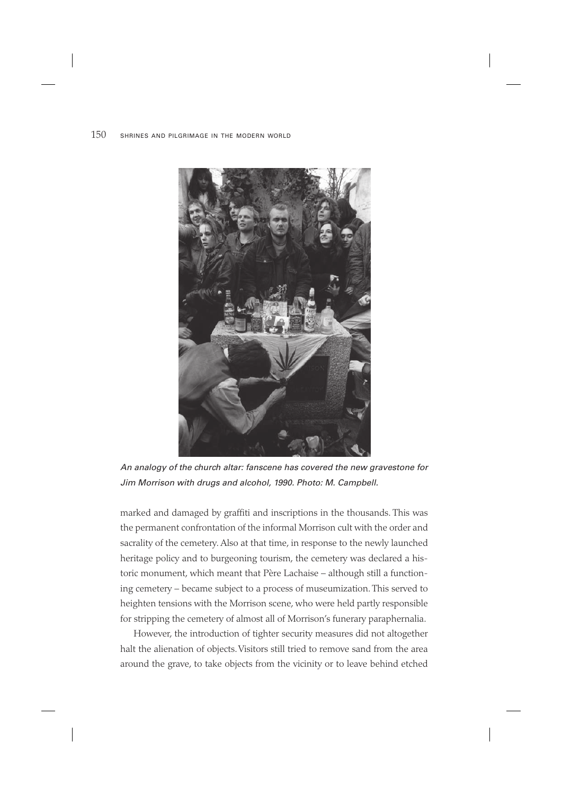

*An analogy of the church altar: fanscene has covered the new gravestone for Jim Morrison with drugs and alcohol, 1990. Photo: M. Campbell.*

marked and damaged by graffiti and inscriptions in the thousands. This was the permanent confrontation of the informal Morrison cult with the order and sacrality of the cemetery. Also at that time, in response to the newly launched heritage policy and to burgeoning tourism, the cemetery was declared a historic monument, which meant that Père Lachaise – although still a functioning cemetery – became subject to a process of museumization. This served to heighten tensions with the Morrison scene, who were held partly responsible for stripping the cemetery of almost all of Morrison's funerary paraphernalia.

 However, the introduction of tighter security measures did not altogether halt the alienation of objects. Visitors still tried to remove sand from the area around the grave, to take objects from the vicinity or to leave behind etched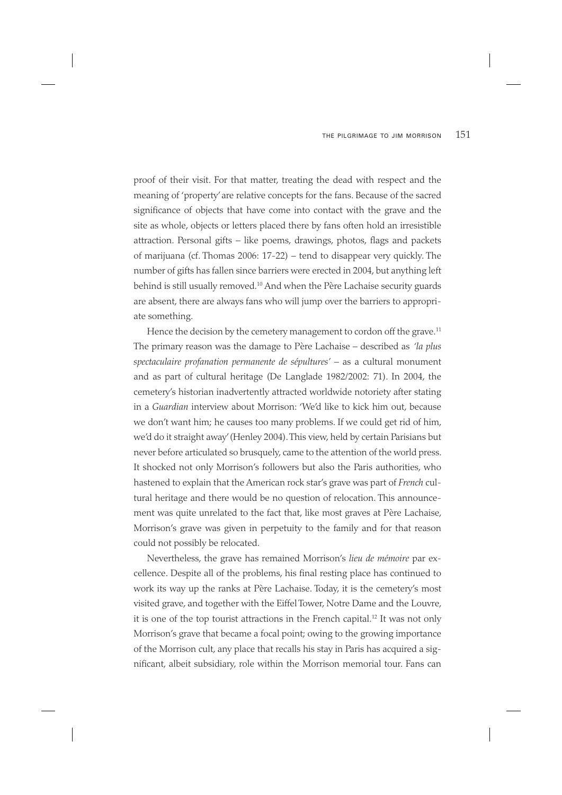proof of their visit. For that matter, treating the dead with respect and the meaning of 'property' are relative concepts for the fans. Because of the sacred significance of objects that have come into contact with the grave and the site as whole, objects or letters placed there by fans often hold an irresistible attraction. Personal gifts - like poems, drawings, photos, flags and packets of marijuana (cf. Thomas 2006: 17-22) – tend to disappear very quickly. The number of gifts has fallen since barriers were erected in 2004, but anything left behind is still usually removed.10 And when the Père Lachaise security guards are absent, there are always fans who will jump over the barriers to appropriate something.

Hence the decision by the cemetery management to cordon off the grave.<sup>11</sup> The primary reason was the damage to Père Lachaise – described as *'la plus spectaculaire profanation permanente de sépultures'* – as a cultural monument and as part of cultural heritage (De Langlade 1982/2002: 71). In 2004, the cemetery's historian inadvertently attracted worldwide notoriety after stating in a *Guardian* interview about Morrison: 'We'd like to kick him out, because we don't want him; he causes too many problems. If we could get rid of him, we'd do it straight away' (Henley 2004). This view, held by certain Parisians but never before articulated so brusquely, came to the attention of the world press. It shocked not only Morrison's followers but also the Paris authorities, who hastened to explain that the American rock star's grave was part of *French* cultural heritage and there would be no question of relocation. This announcement was quite unrelated to the fact that, like most graves at Père Lachaise, Morrison's grave was given in perpetuity to the family and for that reason could not possibly be relocated.

 Nevertheless, the grave has remained Morrison 's *lieu de mémoire* par excellence. Despite all of the problems, his final resting place has continued to work its way up the ranks at Père Lachaise. Today, it is the cemetery's most visited grave, and together with the Eiffel Tower, Notre Dame and the Louvre, it is one of the top tourist attractions in the French capital.12 It was not only Morrison's grave that became a focal point; owing to the growing importance of the Morrison cult, any place that recalls his stay in Paris has acquired a significant, albeit subsidiary, role within the Morrison memorial tour. Fans can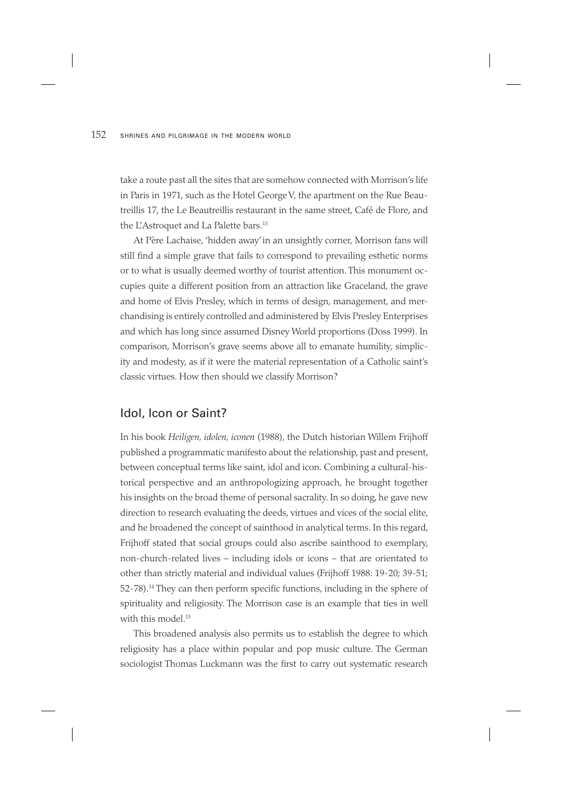take a route past all the sites that are somehow connected with Morrison's life in Paris in 1971, such as the Hotel George V, the apartment on the Rue Beautreillis 17, the Le Beautreillis restaurant in the same street, Café de Flore, and the L'Astroquet and La Palette bars.<sup>13</sup>

At Père Lachaise, 'hidden away' in an unsightly corner, Morrison fans will still find a simple grave that fails to correspond to prevailing esthetic norms or to what is usually deemed worthy of tourist attention. This monument occupies quite a different position from an attraction like Graceland, the grave and home of Elvis Presley, which in terms of design, management, and merchandising is entirely controlled and administered by Elvis Presley Enterprises and which has long since assumed Disney World proportions (Doss 1999). In comparison, Morrison's grave seems above all to emanate humility, simplicity and modesty, as if it were the material representation of a Catholic saint's classic virtues. How then should we classify Morrison?

### Idol, Icon or Saint?

In his book *Heiligen, idolen, iconen* (1988), the Dutch historian Willem Frijhoff published a programmatic manifesto about the relationship, past and present, between conceptual terms like saint, idol and icon. Combining a cultural-historical perspective and an anthropologizing approach, he brought together his insights on the broad theme of personal sacrality. In so doing, he gave new direction to research evaluating the deeds, virtues and vices of the social elite, and he broadened the concept of sainthood in analytical terms. In this regard, Frijhoff stated that social groups could also ascribe sainthood to exemplary, non-church-related lives – including idols or icons – that are orientated to other than strictly material and individual values (Frijhoff 1988: 19-20; 39-51; 52-78).<sup>14</sup> They can then perform specific functions, including in the sphere of spirituality and religiosity. The Morrison case is an example that ties in well with this model.<sup>15</sup>

 This broadened analysis also permits us to establish the degree to which religiosity has a place within popular and pop music culture. The German sociologist Thomas Luckmann was the first to carry out systematic research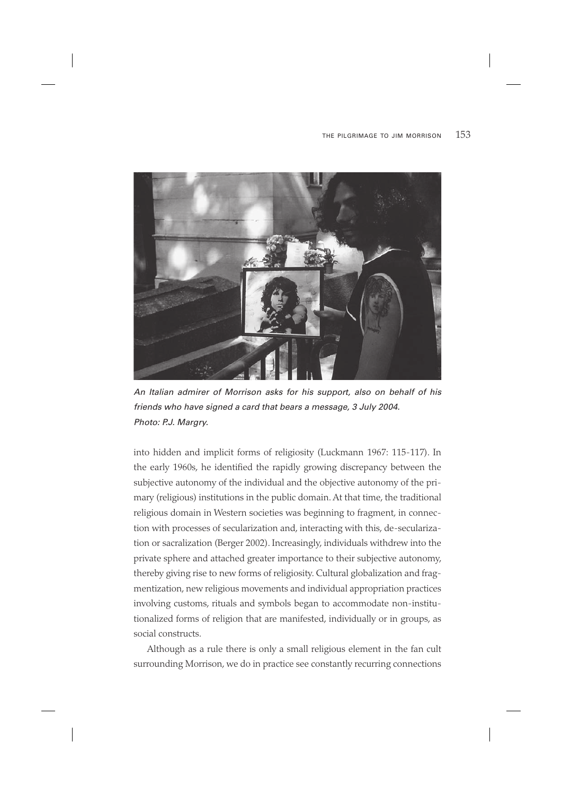#### 153 THE PILGRIMAGE TO JIM MORRISON



*An Italian admirer of Morrison asks for his support, also on behalf of his friends who have signed a card that bears a message, 3 July 2004. Photo: P.J. Margry.*

into hidden and implicit forms of religiosity (Luckmann 1967: 115-117). In the early 1960s, he identified the rapidly growing discrepancy between the subjective autonomy of the individual and the objective autonomy of the primary (religious) institutions in the public domain. At that time, the traditional religious domain in Western societies was beginning to fragment, in connection with processes of secularization and, interacting with this, de-secularization or sacralization (Berger 2002). Increasingly, individuals withdrew into the private sphere and attached greater importance to their subjective autonomy, thereby giving rise to new forms of religiosity. Cultural globalization and fragmentization, new religious movements and individual appropriation practices involving customs, rituals and symbols began to accommodate non-institutionalized forms of religion that are manifested, individually or in groups, as social constructs.

 Although as a rule there is only a small religious element in the fan cult surrounding Morrison, we do in practice see constantly recurring connections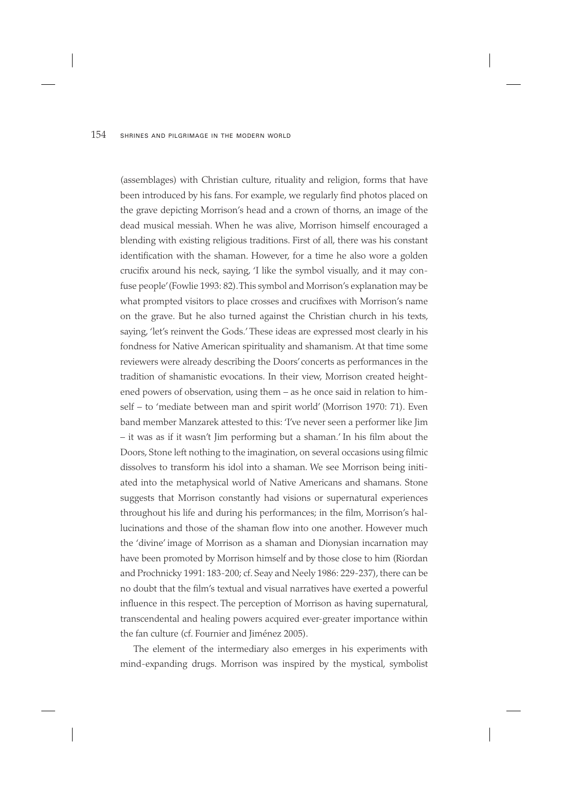(assemblages) with Christian culture, rituality and religion, forms that have been introduced by his fans. For example, we regularly find photos placed on the grave depicting Morrison's head and a crown of thorns, an image of the dead musical messiah. When he was alive, Morrison himself encouraged a blending with existing religious traditions. First of all, there was his constant identification with the shaman. However, for a time he also wore a golden crucifix around his neck, saying, 'I like the symbol visually, and it may confuse people' (Fowlie 1993: 82). This symbol and Morrison's explanation may be what prompted visitors to place crosses and crucifixes with Morrison's name on the grave. But he also turned against the Christian church in his texts, saying, 'let's reinvent the Gods.' These ideas are expressed most clearly in his fondness for Native American spirituality and shamanism. At that time some reviewers were already describing the Doors' concerts as performances in the tradition of shamanistic evocations. In their view, Morrison created heightened powers of observation, using them – as he once said in relation to himself – to 'mediate between man and spirit world' (Morrison 1970: 71). Even band member Manzarek attested to this: 'I've never seen a performer like Jim  $-$  it was as if it wasn't Jim performing but a shaman.' In his film about the Doors, Stone left nothing to the imagination, on several occasions using filmic dissolves to transform his idol into a shaman. We see Morrison being initiated into the metaphysical world of Native Americans and shamans. Stone suggests that Morrison constantly had visions or supernatural experiences throughout his life and during his performances; in the film, Morrison's hallucinations and those of the shaman flow into one another. However much the 'divine' image of Morrison as a shaman and Dionysian incarnation may have been promoted by Morrison himself and by those close to him (Riordan and Prochnicky 1991: 183-200; cf. Seay and Neely 1986: 229-237), there can be no doubt that the film's textual and visual narratives have exerted a powerful influence in this respect. The perception of Morrison as having supernatural, transcendental and healing powers acquired ever-greater importance within the fan culture (cf. Fournier and Jiménez 2005).

 The element of the intermediary also emerges in his experiments with mind-expanding drugs. Morrison was inspired by the mystical, symbolist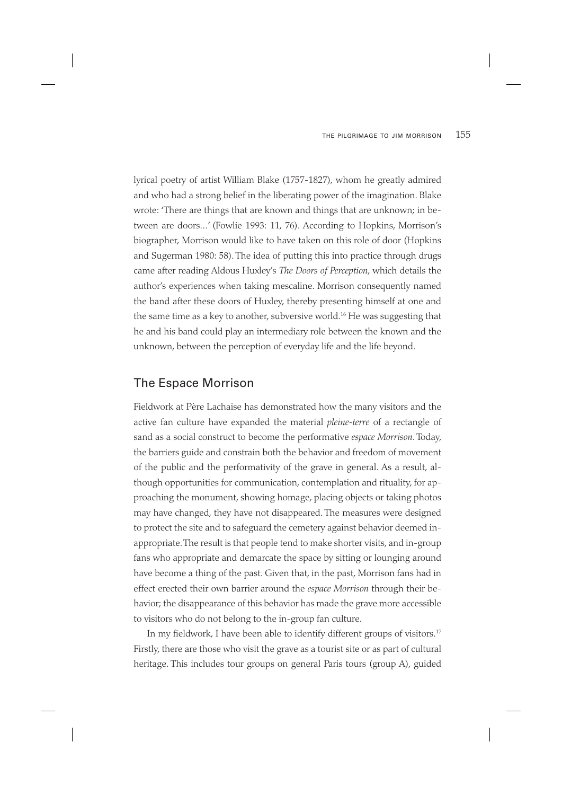lyrical poetry of artist William Blake (1757-1827), whom he greatly admired and who had a strong belief in the liberating power of the imagination. Blake wrote: 'There are things that are known and things that are unknown; in between are doors...' (Fowlie 1993: 11, 76). According to Hopkins, Morrison's biographer, Morrison would like to have taken on this role of door (Hopkins and Sugerman 1980: 58). The idea of putting this into practice through drugs came after reading Aldous Huxley's *The Doors of Perception*, which details the author's experiences when taking mescaline. Morrison consequently named the band after these doors of Huxley, thereby presenting himself at one and the same time as a key to another, subversive world.<sup>16</sup> He was suggesting that he and his band could play an intermediary role between the known and the unknown, between the perception of everyday life and the life beyond.

### The Espace Morrison

Fieldwork at Père Lachaise has demonstrated how the many visitors and the active fan culture have expanded the material *pleine-terre* of a rectangle of sand as a social construct to become the performative *espace Morrison* . Today, the barriers guide and constrain both the behavior and freedom of movement of the public and the performativity of the grave in general. As a result, although opportunities for communication, contemplation and rituality, for approaching the monument, showing homage, placing objects or taking photos may have changed, they have not disappeared. The measures were designed to protect the site and to safeguard the cemetery against behavior deemed inappropriate. The result is that people tend to make shorter visits, and in-group fans who appropriate and demarcate the space by sitting or lounging around have become a thing of the past. Given that, in the past, Morrison fans had in effect erected their own barrier around the *espace Morrison* through their behavior; the disappearance of this behavior has made the grave more accessible to visitors who do not belong to the in-group fan culture.

In my fieldwork, I have been able to identify different groups of visitors.<sup>17</sup> Firstly, there are those who visit the grave as a tourist site or as part of cultural heritage. This includes tour groups on general Paris tours (group A), guided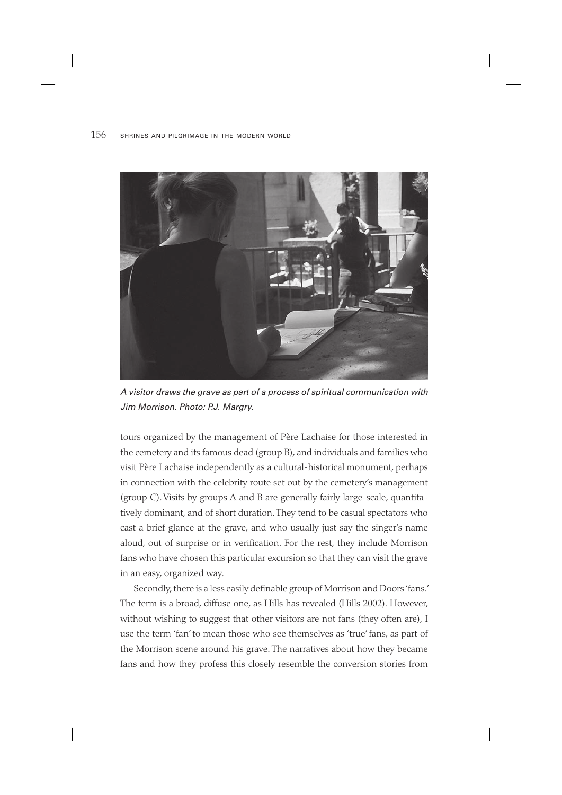

*A visitor draws the grave as part of a process of spiritual communication with Jim Morrison. Photo: P.J. Margry.*

tours organized by the management of Père Lachaise for those interested in the cemetery and its famous dead (group B), and individuals and families who visit Père Lachaise independently as a cultural-historical monument, perhaps in connection with the celebrity route set out by the cemetery's management (group C). Visits by groups A and B are generally fairly large-scale, quantitatively dominant, and of short duration. They tend to be casual spectators who cast a brief glance at the grave, and who usually just say the singer's name aloud, out of surprise or in verification. For the rest, they include Morrison fans who have chosen this particular excursion so that they can visit the grave in an easy, organized way.

Secondly, there is a less easily definable group of Morrison and Doors 'fans.' The term is a broad, diffuse one, as Hills has revealed (Hills 2002). However, without wishing to suggest that other visitors are not fans (they often are), I use the term 'fan' to mean those who see themselves as 'true' fans, as part of the Morrison scene around his grave. The narratives about how they became fans and how they profess this closely resemble the conversion stories from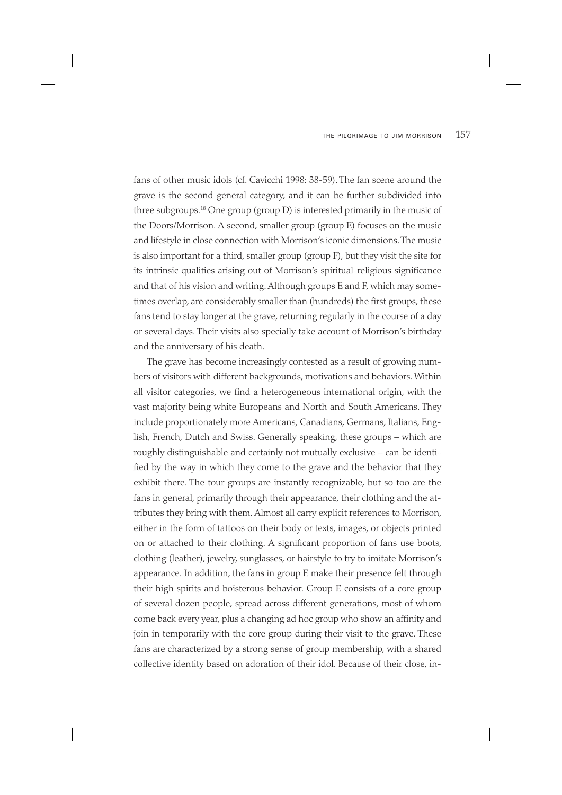fans of other music idols (cf. Cavicchi 1998: 38-59). The fan scene around the grave is the second general category, and it can be further subdivided into three subgroups.18 One group (group D) is interested primarily in the music of the Doors/Morrison. A second, smaller group (group E) focuses on the music and lifestyle in close connection with Morrison's iconic dimensions. The music is also important for a third, smaller group (group F), but they visit the site for its intrinsic qualities arising out of Morrison's spiritual-religious significance and that of his vision and writing. Although groups E and F, which may sometimes overlap, are considerably smaller than (hundreds) the first groups, these fans tend to stay longer at the grave, returning regularly in the course of a day or several days. Their visits also specially take account of Morrison's birthday and the anniversary of his death.

 The grave has become increasingly contested as a result of growing numbers of visitors with different backgrounds, motivations and behaviors. Within all visitor categories, we find a heterogeneous international origin, with the vast majority being white Europeans and North and South Americans. They include proportionately more Americans, Canadians, Germans, Italians, English, French, Dutch and Swiss. Generally speaking, these groups – which are roughly distinguishable and certainly not mutually exclusive – can be identified by the way in which they come to the grave and the behavior that they exhibit there. The tour groups are instantly recognizable, but so too are the fans in general, primarily through their appearance, their clothing and the attributes they bring with them. Almost all carry explicit references to Morrison, either in the form of tattoos on their body or texts, images, or objects printed on or attached to their clothing. A significant proportion of fans use boots, clothing (leather), jewelry, sunglasses, or hairstyle to try to imitate Morrison's appearance. In addition, the fans in group E make their presence felt through their high spirits and boisterous behavior. Group E consists of a core group of several dozen people, spread across different generations, most of whom come back every year, plus a changing ad hoc group who show an affinity and join in temporarily with the core group during their visit to the grave. These fans are characterized by a strong sense of group membership, with a shared collective identity based on adoration of their idol. Because of their close, in-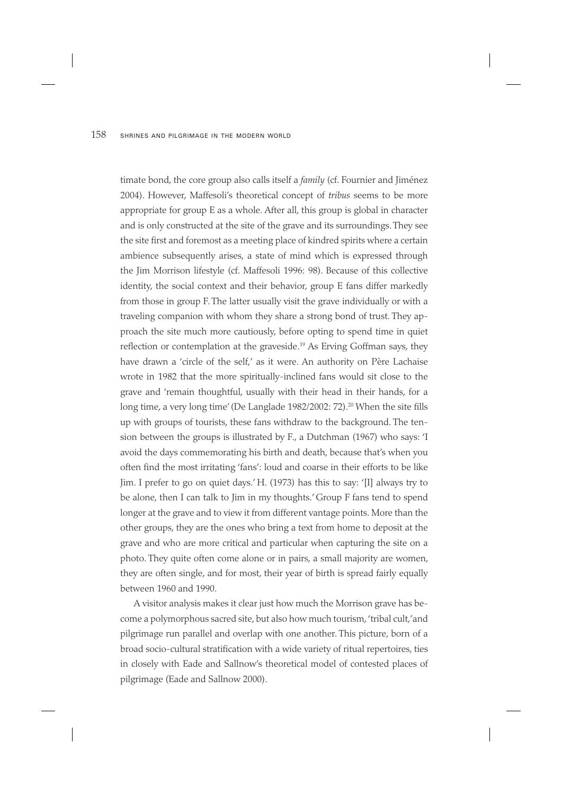timate bond, the core group also calls itself a *family* (cf. Fournier and Jiménez 2004). However, Maffesoli's theoretical concept of *tribus* seems to be more appropriate for group E as a whole. After all, this group is global in character and is only constructed at the site of the grave and its surroundings. They see the site first and foremost as a meeting place of kindred spirits where a certain ambience subsequently arises, a state of mind which is expressed through the Jim Morrison lifestyle (cf. Maffesoli 1996: 98). Because of this collective identity, the social context and their behavior, group E fans differ markedly from those in group F. The latter usually visit the grave individually or with a traveling companion with whom they share a strong bond of trust. They approach the site much more cautiously, before opting to spend time in quiet reflection or contemplation at the graveside.<sup>19</sup> As Erving Goffman says, they have drawn a 'circle of the self,' as it were. An authority on Père Lachaise wrote in 1982 that the more spiritually-inclined fans would sit close to the grave and 'remain thoughtful, usually with their head in their hands, for a long time, a very long time' (De Langlade 1982/2002: 72).<sup>20</sup> When the site fills up with groups of tourists, these fans withdraw to the background. The tension between the groups is illustrated by F., a Dutchman (1967) who says: 'I avoid the days commemorating his birth and death, because that's when you often find the most irritating 'fans': loud and coarse in their efforts to be like Jim. I prefer to go on quiet days.' H. (1973) has this to say: '[I] always try to be alone, then I can talk to Jim in my thoughts.' Group F fans tend to spend longer at the grave and to view it from different vantage points. More than the other groups, they are the ones who bring a text from home to deposit at the grave and who are more critical and particular when capturing the site on a photo. They quite often come alone or in pairs, a small majority are women, they are often single, and for most, their year of birth is spread fairly equally between 1960 and 1990.

 A visitor analysis makes it clear just how much the Morrison grave has become a polymorphous sacred site, but also how much tourism, 'tribal cult,'and pilgrimage run parallel and overlap with one another. This picture, born of a broad socio-cultural stratification with a wide variety of ritual repertoires, ties in closely with Eade and Sallnow's theoretical model of contested places of pilgrimage (Eade and Sallnow 2000).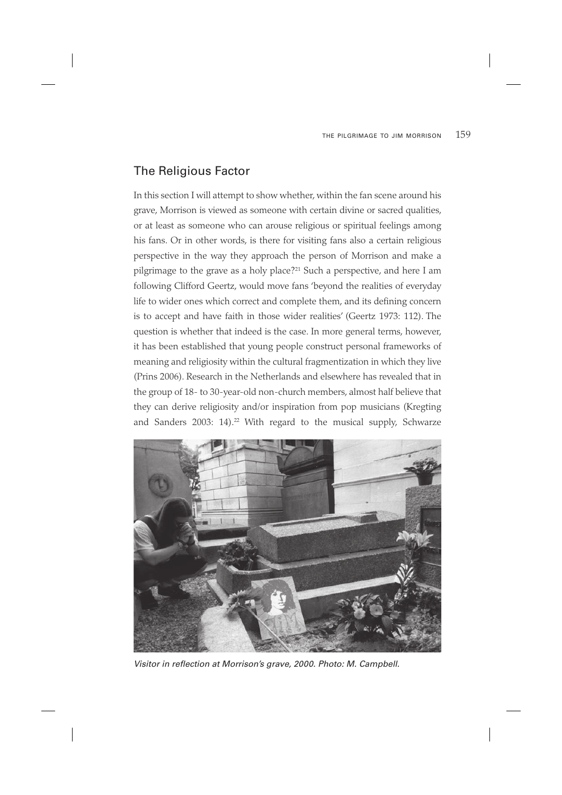# The Religious Factor

In this section I will attempt to show whether, within the fan scene around his grave, Morrison is viewed as someone with certain divine or sacred qualities, or at least as someone who can arouse religious or spiritual feelings among his fans. Or in other words, is there for visiting fans also a certain religious perspective in the way they approach the person of Morrison and make a pilgrimage to the grave as a holy place?<sup>21</sup> Such a perspective, and here I am following Clifford Geertz, would move fans 'beyond the realities of everyday life to wider ones which correct and complete them, and its defining concern is to accept and have faith in those wider realities' (Geertz 1973: 112). The question is whether that indeed is the case. In more general terms, however, it has been established that young people construct personal frameworks of meaning and religiosity within the cultural fragmentization in which they live (Prins 2006). Research in the Netherlands and elsewhere has revealed that in the group of 18- to 30-year-old non-church members, almost half believe that they can derive religiosity and/or inspiration from pop musicians (Kregting and Sanders 2003: 14).<sup>22</sup> With regard to the musical supply, Schwarze



*Visitor in refl ection at Morrison's grave, 2000. Photo: M. Campbell.*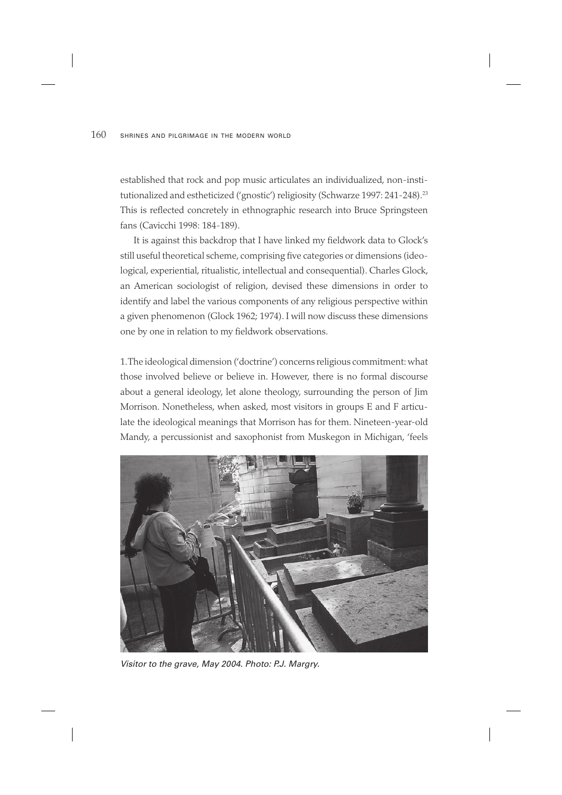established that rock and pop music articulates an individualized, non-institutionalized and estheticized ('gnostic') religiosity (Schwarze 1997: 241-248).<sup>23</sup> This is reflected concretely in ethnographic research into Bruce Springsteen fans (Cavicchi 1998: 184-189).

It is against this backdrop that I have linked my fieldwork data to Glock's still useful theoretical scheme, comprising five categories or dimensions (ideological, experiential, ritualistic, intellectual and consequential). Charles Glock, an American sociologist of religion, devised these dimensions in order to identify and label the various components of any religious perspective within a given phenomenon (Glock 1962; 1974). I will now discuss these dimensions one by one in relation to my fieldwork observations.

1. The ideological dimension ('doctrine') concerns religious commitment: what those involved believe or believe in. However, there is no formal discourse about a general ideology, let alone theology, surrounding the person of Jim Morrison. Nonetheless, when asked, most visitors in groups E and F articulate the ideological meanings that Morrison has for them. Nineteen-year-old Mandy, a percussionist and saxophonist from Muskegon in Michigan, 'feels



*Visitor to the grave, May 2004. Photo: P.J. Margry.*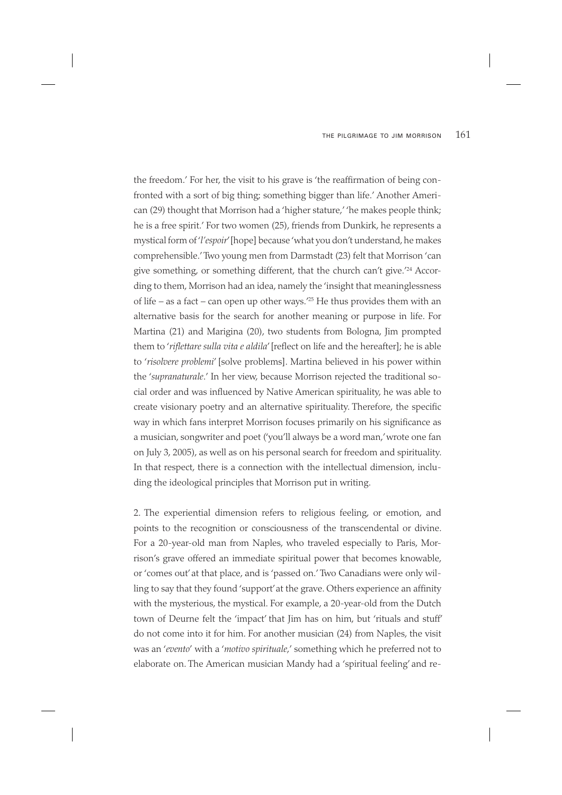the freedom.' For her, the visit to his grave is 'the reaffirmation of being confronted with a sort of big thing; something bigger than life.' Another American (29) thought that Morrison had a 'higher stature,' 'he makes people think; he is a free spirit.' For two women (25), friends from Dunkirk, he represents a mystical form of '*l'espoir*' [hope] because 'what you don't understand, he makes comprehensible.' Two young men from Darmstadt (23) felt that Morrison 'can give something, or something different, that the church can't give.<sup>'24</sup> According to them, Morrison had an idea, namely the 'insight that meaninglessness of life – as a fact – can open up other ways.<sup> $25$ </sup> He thus provides them with an alternative basis for the search for another meaning or purpose in life. For Martina (21) and Marigina (20), two students from Bologna, Jim prompted them to 'riflettare sulla vita e aldila' [reflect on life and the hereafter]; he is able to '*risolvere problemi*' [solve problems]. Martina believed in his power within the '*supranaturale*.' In her view, because Morrison rejected the traditional social order and was influenced by Native American spirituality, he was able to create visionary poetry and an alternative spirituality. Therefore, the specific way in which fans interpret Morrison focuses primarily on his significance as a musician, songwriter and poet ('you'll always be a word man,' wrote one fan on July 3, 2005), as well as on his personal search for freedom and spirituality. In that respect, there is a connection with the intellectual dimension, including the ideological principles that Morrison put in writing.

2. The experiential dimension refers to religious feeling, or emotion, and points to the recognition or consciousness of the transcendental or divine. For a 20-year-old man from Naples, who traveled especially to Paris, Morrison 's grave offered an immediate spiritual power that becomes knowable, or 'comes out' at that place, and is 'passed on.' Two Canadians were only willing to say that they found 'support' at the grave. Others experience an affinity with the mysterious, the mystical. For example, a 20-year-old from the Dutch town of Deurne felt the 'impact' that Jim has on him, but 'rituals and stuff' do not come into it for him. For another musician (24) from Naples, the visit was an '*evento*' with a '*motivo spirituale*,' something which he preferred not to elaborate on. The American musician Mandy had a 'spiritual feeling' and re-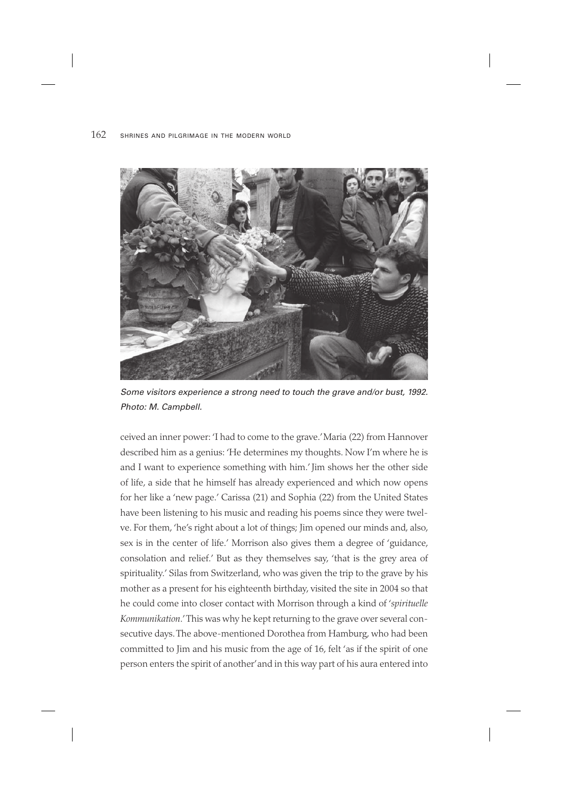

*Some visitors experience a strong need to touch the grave and/or bust, 1992. Photo: M. Campbell.*

ceived an inner power: 'I had to come to the grave.' Maria (22) from Hannover described him as a genius: 'He determines my thoughts. Now I'm where he is and I want to experience something with him.' Jim shows her the other side of life, a side that he himself has already experienced and which now opens for her like a 'new page.' Carissa (21) and Sophia (22) from the United States have been listening to his music and reading his poems since they were twelve. For them, 'he's right about a lot of things; Jim opened our minds and, also, sex is in the center of life.' Morrison also gives them a degree of 'guidance, consolation and relief.' But as they themselves say, 'that is the grey area of spirituality.' Silas from Switzerland, who was given the trip to the grave by his mother as a present for his eighteenth birthday, visited the site in 2004 so that he could come into closer contact with Morrison through a kind of '*spirituelle Kommunikation*.' This was why he kept returning to the grave over several consecutive days. The above-mentioned Dorothea from Hamburg, who had been committed to Jim and his music from the age of 16, felt 'as if the spirit of one person enters the spirit of another' and in this way part of his aura entered into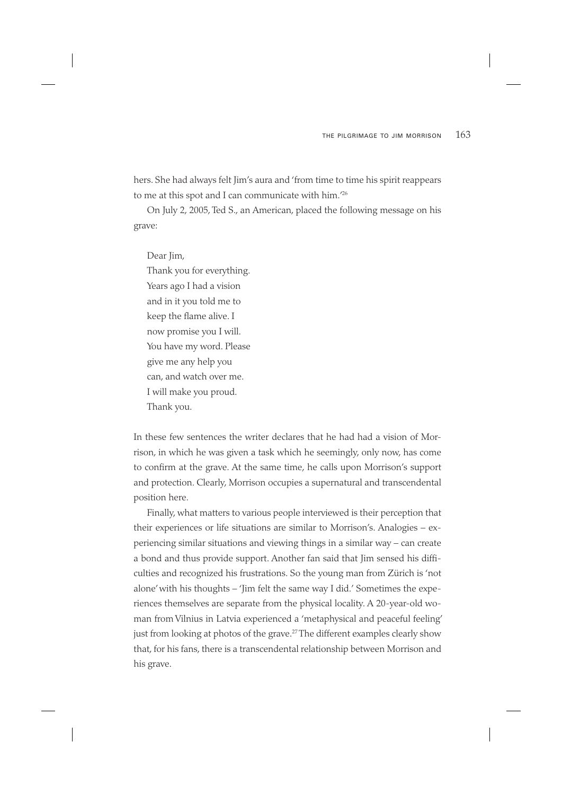hers. She had always felt Jim's aura and 'from time to time his spirit reappears to me at this spot and I can communicate with him.<sup>'26</sup>

 On July 2, 2005, Ted S., an American, placed the following message on his grave:

Dear Jim,

 Thank you for everything. Years ago I had a vision and in it you told me to keep the flame alive. I now promise you I will. You have my word. Please give me any help you can, and watch over me. I will make you proud. Thank you.

In these few sentences the writer declares that he had had a vision of Morrison, in which he was given a task which he seemingly, only now, has come to confirm at the grave. At the same time, he calls upon Morrison's support and protection. Clearly, Morrison occupies a supernatural and transcendental position here.

 Finally, what matters to various people interviewed is their perception that their experiences or life situations are similar to Morrison 's. Analogies – experiencing similar situations and viewing things in a similar way – can create a bond and thus provide support. Another fan said that Jim sensed his diffi culties and recognized his frustrations. So the young man from Zürich is 'not alone' with his thoughts – 'Jim felt the same way I did.' Sometimes the experiences themselves are separate from the physical locality. A 20-year-old woman from Vilnius in Latvia experienced a 'metaphysical and peaceful feeling' just from looking at photos of the grave.<sup>27</sup> The different examples clearly show that, for his fans, there is a transcendental relationship between Morrison and his grave.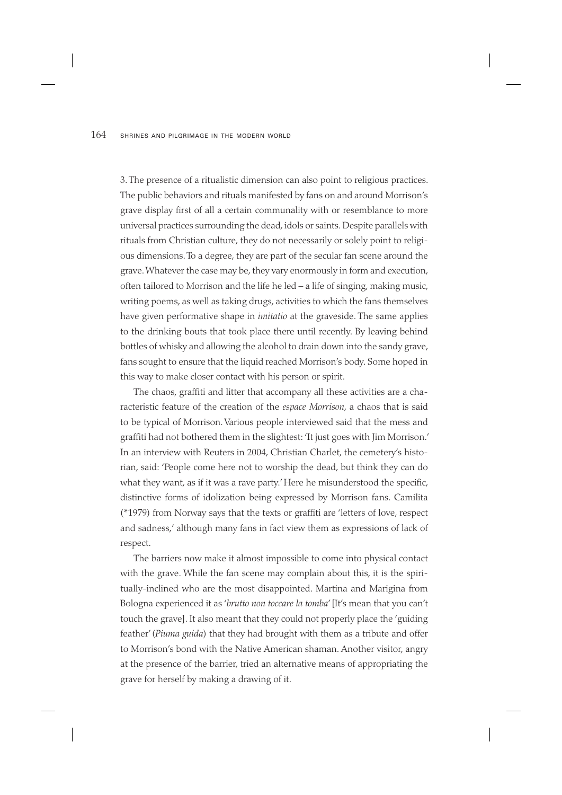3. The presence of a ritualistic dimension can also point to religious practices. The public behaviors and rituals manifested by fans on and around Morrison 's grave display first of all a certain communality with or resemblance to more universal practices surrounding the dead, idols or saints. Despite parallels with rituals from Christian culture, they do not necessarily or solely point to religious dimensions. To a degree, they are part of the secular fan scene around the grave. Whatever the case may be, they vary enormously in form and execution, often tailored to Morrison and the life he led – a life of singing, making music, writing poems, as well as taking drugs, activities to which the fans themselves have given performative shape in *imitatio* at the graveside. The same applies to the drinking bouts that took place there until recently. By leaving behind bottles of whisky and allowing the alcohol to drain down into the sandy grave, fans sought to ensure that the liquid reached Morrison's body. Some hoped in this way to make closer contact with his person or spirit.

The chaos, graffiti and litter that accompany all these activities are a characteristic feature of the creation of the *espace Morrison*, a chaos that is said to be typical of Morrison. Various people interviewed said that the mess and graffiti had not bothered them in the slightest: 'It just goes with Jim Morrison.' In an interview with Reuters in 2004, Christian Charlet, the cemetery's historian, said: 'People come here not to worship the dead, but think they can do what they want, as if it was a rave party.' Here he misunderstood the specific, distinctive forms of idolization being expressed by Morrison fans. Camilita ( $*1979$ ) from Norway says that the texts or graffiti are 'letters of love, respect and sadness,' although many fans in fact view them as expressions of lack of respect.

 The barriers now make it almost impossible to come into physical contact with the grave. While the fan scene may complain about this, it is the spiritually-inclined who are the most disappointed. Martina and Marigina from Bologna experienced it as '*brutto non toccare la tomba*' [It's mean that you can't touch the grave]. It also meant that they could not properly place the 'guiding feather' (*Piuma guida*) that they had brought with them as a tribute and offer to Morrison's bond with the Native American shaman. Another visitor, angry at the presence of the barrier, tried an alternative means of appropriating the grave for herself by making a drawing of it.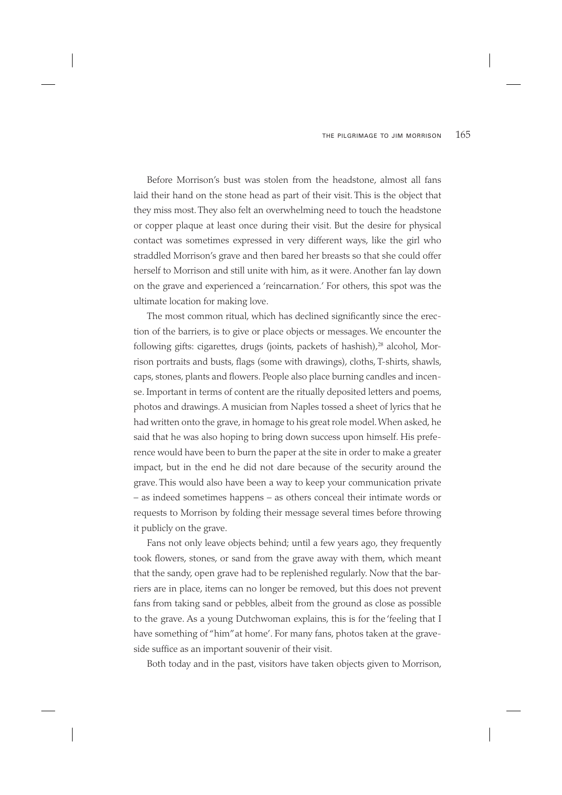Before Morrison's bust was stolen from the headstone, almost all fans laid their hand on the stone head as part of their visit. This is the object that they miss most. They also felt an overwhelming need to touch the headstone or copper plaque at least once during their visit. But the desire for physical contact was sometimes expressed in very different ways, like the girl who straddled Morrison's grave and then bared her breasts so that she could offer herself to Morrison and still unite with him, as it were. Another fan lay down on the grave and experienced a 'reincarnation.' For others, this spot was the ultimate location for making love.

The most common ritual, which has declined significantly since the erection of the barriers, is to give or place objects or messages. We encounter the following gifts: cigarettes, drugs (joints, packets of hashish),<sup>28</sup> alcohol, Morrison portraits and busts, flags (some with drawings), cloths, T-shirts, shawls, caps, stones, plants and flowers. People also place burning candles and incense. Important in terms of content are the ritually deposited letters and poems, photos and drawings. A musician from Naples tossed a sheet of lyrics that he had written onto the grave, in homage to his great role model. When asked, he said that he was also hoping to bring down success upon himself. His preference would have been to burn the paper at the site in order to make a greater impact, but in the end he did not dare because of the security around the grave. This would also have been a way to keep your communication private – as indeed sometimes happens – as others conceal their intimate words or requests to Morrison by folding their message several times before throwing it publicly on the grave.

 Fans not only leave objects behind; until a few years ago, they frequently took flowers, stones, or sand from the grave away with them, which meant that the sandy, open grave had to be replenished regularly. Now that the barriers are in place, items can no longer be removed, but this does not prevent fans from taking sand or pebbles, albeit from the ground as close as possible to the grave. As a young Dutchwoman explains, this is for the 'feeling that I have something of "him" at home'. For many fans, photos taken at the graveside suffice as an important souvenir of their visit.

Both today and in the past, visitors have taken objects given to Morrison,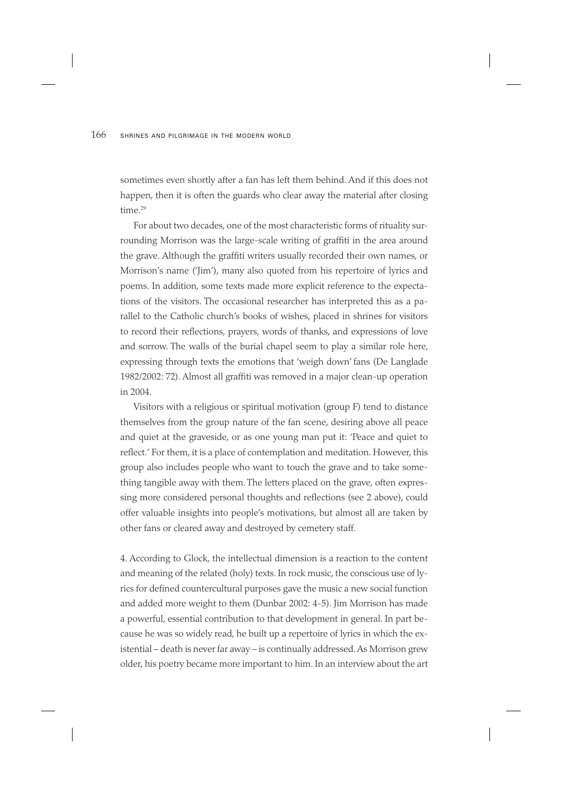sometimes even shortly after a fan has left them behind. And if this does not happen, then it is often the guards who clear away the material after closing time.<sup>29</sup>

 For about two decades, one of the most characteristic forms of rituality surrounding Morrison was the large-scale writing of graffiti in the area around the grave. Although the graffiti writers usually recorded their own names, or Morrison's name ('Jim'), many also quoted from his repertoire of lyrics and poems. In addition, some texts made more explicit reference to the expectations of the visitors. The occasional researcher has interpreted this as a parallel to the Catholic church's books of wishes, placed in shrines for visitors to record their reflections, prayers, words of thanks, and expressions of love and sorrow. The walls of the burial chapel seem to play a similar role here, expressing through texts the emotions that 'weigh down' fans (De Langlade 1982/2002: 72). Almost all graffiti was removed in a major clean-up operation in 2004.

 Visitors with a religious or spiritual motivation (group F) tend to distance themselves from the group nature of the fan scene, desiring above all peace and quiet at the graveside, or as one young man put it: 'Peace and quiet to reflect.' For them, it is a place of contemplation and meditation. However, this group also includes people who want to touch the grave and to take something tangible away with them. The letters placed on the grave, often expressing more considered personal thoughts and reflections (see 2 above), could offer valuable insights into people's motivations, but almost all are taken by other fans or cleared away and destroyed by cemetery staff.

4. According to Glock, the intellectual dimension is a reaction to the content and meaning of the related (holy) texts. In rock music, the conscious use of lyrics for defined countercultural purposes gave the music a new social function and added more weight to them (Dunbar 2002: 4-5). Jim Morrison has made a powerful, essential contribution to that development in general. In part because he was so widely read, he built up a repertoire of lyrics in which the existential – death is never far away – is continually addressed. As Morrison grew older, his poetry became more important to him. In an interview about the art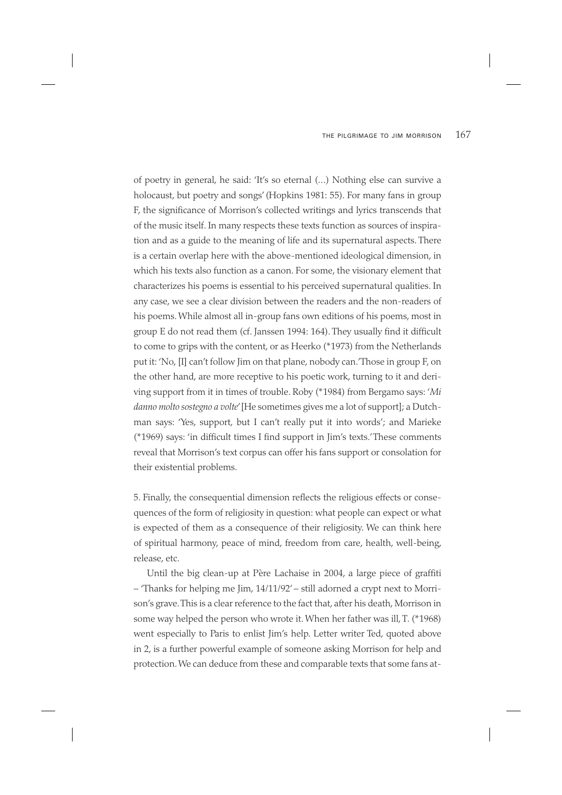of poetry in general, he said: 'It's so eternal (...) Nothing else can survive a holocaust, but poetry and songs' (Hopkins 1981: 55). For many fans in group F, the significance of Morrison's collected writings and lyrics transcends that of the music itself. In many respects these texts function as sources of inspiration and as a guide to the meaning of life and its supernatural aspects. There is a certain overlap here with the above-mentioned ideological dimension, in which his texts also function as a canon. For some, the visionary element that characterizes his poems is essential to his perceived supernatural qualities. In any case, we see a clear division between the readers and the non-readers of his poems. While almost all in-group fans own editions of his poems, most in group E do not read them (cf. Janssen 1994: 164). They usually find it difficult to come to grips with the content, or as Heerko (\*1973) from the Netherlands put it: 'No, [I] can't follow Jim on that plane, nobody can.' Those in group F, on the other hand, are more receptive to his poetic work, turning to it and deriving support from it in times of trouble. Roby (\*1984) from Bergamo says: '*Mi danno molto sostegno a volte*' [He sometimes gives me a lot of support]; a Dutchman says: 'Yes, support, but I can't really put it into words'; and Marieke (\*1969) says: 'in difficult times I find support in Jim's texts.' These comments reveal that Morrison's text corpus can offer his fans support or consolation for their existential problems.

5. Finally, the consequential dimension reflects the religious effects or consequences of the form of religiosity in question: what people can expect or what is expected of them as a consequence of their religiosity. We can think here of spiritual harmony, peace of mind, freedom from care, health, well-being, release, etc.

Until the big clean-up at Père Lachaise in 2004, a large piece of graffiti – 'Thanks for helping me Jim, 14/11/92' – still adorned a crypt next to Morrison 's grave. This is a clear reference to the fact that, after his death, Morrison in some way helped the person who wrote it. When her father was ill, T. (\*1968) went especially to Paris to enlist Jim's help. Letter writer Ted, quoted above in 2, is a further powerful example of someone asking Morrison for help and protection. We can deduce from these and comparable texts that some fans at-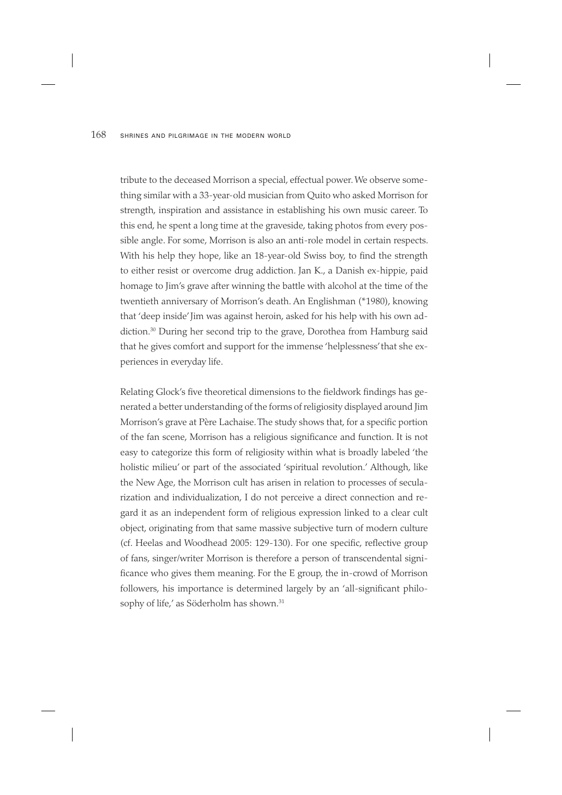tribute to the deceased Morrison a special, effectual power. We observe something similar with a 33-year-old musician from Quito who asked Morrison for strength, inspiration and assistance in establishing his own music career. To this end, he spent a long time at the graveside, taking photos from every possible angle. For some, Morrison is also an anti-role model in certain respects. With his help they hope, like an 18-year-old Swiss boy, to find the strength to either resist or overcome drug addiction. Jan K., a Danish ex-hippie, paid homage to Jim's grave after winning the battle with alcohol at the time of the twentieth anniversary of Morrison's death. An Englishman (\*1980), knowing that 'deep inside' Jim was against heroin, asked for his help with his own addiction.30 During her second trip to the grave, Dorothea from Hamburg said that he gives comfort and support for the immense 'helplessness' that she experiences in everyday life.

Relating Glock's five theoretical dimensions to the fieldwork findings has generated a better understanding of the forms of religiosity displayed around Jim Morrison's grave at Père Lachaise. The study shows that, for a specific portion of the fan scene, Morrison has a religious significance and function. It is not easy to categorize this form of religiosity within what is broadly labeled 'the holistic milieu' or part of the associated 'spiritual revolution.' Although, like the New Age, the Morrison cult has arisen in relation to processes of secularization and individualization, I do not perceive a direct connection and regard it as an independent form of religious expression linked to a clear cult object, originating from that same massive subjective turn of modern culture (cf. Heelas and Woodhead 2005: 129-130). For one specific, reflective group of fans, singer/writer Morrison is therefore a person of transcendental significance who gives them meaning. For the E group, the in-crowd of Morrison followers, his importance is determined largely by an 'all-significant philosophy of life,' as Söderholm has shown.<sup>31</sup>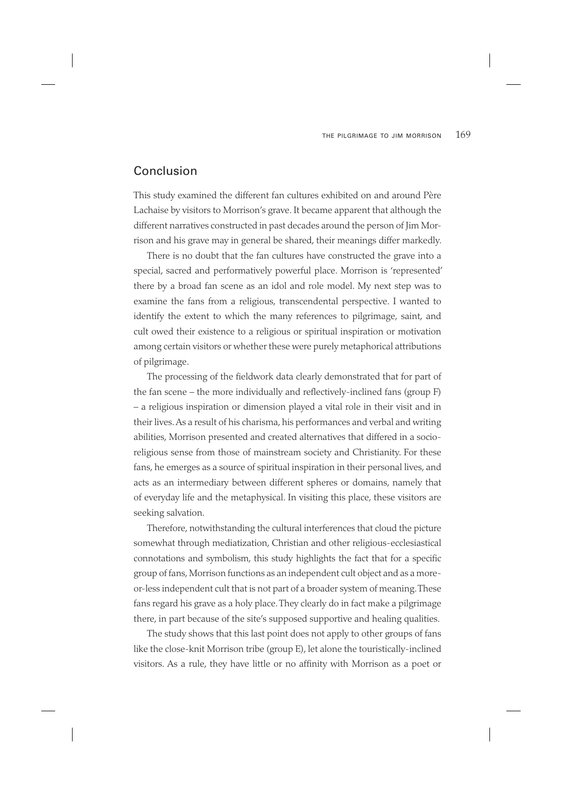## Conclusion

This study examined the different fan cultures exhibited on and around Père Lachaise by visitors to Morrison's grave. It became apparent that although the different narratives constructed in past decades around the person of Jim Morrison and his grave may in general be shared, their meanings differ markedly.

 There is no doubt that the fan cultures have constructed the grave into a special, sacred and performatively powerful place. Morrison is 'represented' there by a broad fan scene as an idol and role model. My next step was to examine the fans from a religious, transcendental perspective. I wanted to identify the extent to which the many references to pilgrimage, saint, and cult owed their existence to a religious or spiritual inspiration or motivation among certain visitors or whether these were purely metaphorical attributions of pilgrimage.

The processing of the fieldwork data clearly demonstrated that for part of the fan scene – the more individually and reflectively-inclined fans (group  $F$ ) – a religious inspiration or dimension played a vital role in their visit and in their lives. As a result of his charisma, his performances and verbal and writing abilities, Morrison presented and created alternatives that differed in a socioreligious sense from those of mainstream society and Christianity. For these fans, he emerges as a source of spiritual inspiration in their personal lives, and acts as an intermediary between different spheres or domains, namely that of everyday life and the metaphysical. In visiting this place, these visitors are seeking salvation.

 Therefore, notwithstanding the cultural interferences that cloud the picture somewhat through mediatization, Christian and other religious-ecclesiastical connotations and symbolism, this study highlights the fact that for a specific group of fans, Morrison functions as an independent cult object and as a moreor-less independent cult that is not part of a broader system of meaning. These fans regard his grave as a holy place. They clearly do in fact make a pilgrimage there, in part because of the site's supposed supportive and healing qualities.

 The study shows that this last point does not apply to other groups of fans like the close-knit Morrison tribe (group E), let alone the touristically-inclined visitors. As a rule, they have little or no affinity with Morrison as a poet or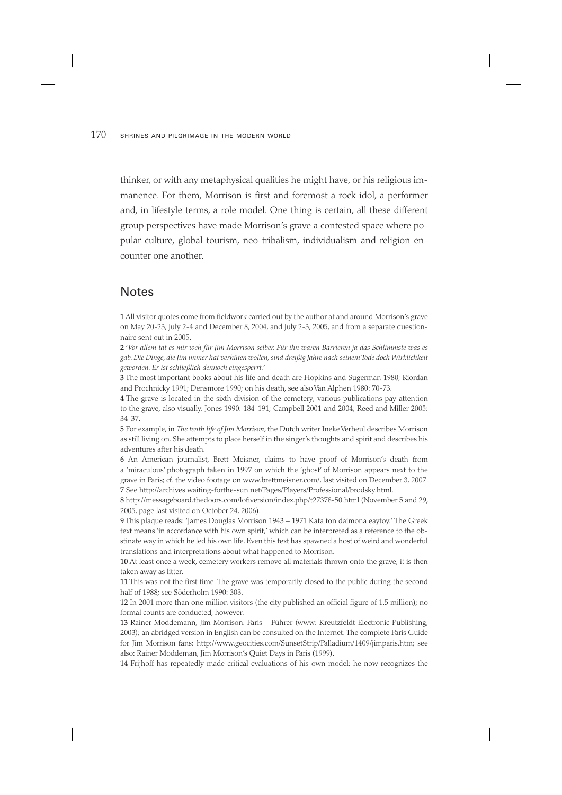thinker, or with any metaphysical qualities he might have, or his religious immanence. For them, Morrison is first and foremost a rock idol, a performer and, in lifestyle terms, a role model. One thing is certain, all these different group perspectives have made Morrison's grave a contested space where popular culture, global tourism, neo-tribalism, individualism and religion encounter one another.

### **Notes**

**1** All visitor quotes come from fieldwork carried out by the author at and around Morrison's grave on May 20-23, July 2-4 and December 8, 2004, and July 2-3, 2005, and from a separate questionnaire sent out in 2005.

**2** '*Vor allem tat es mir weh für Jim Morrison selber. Für ihn waren Barrieren ja das Schlimmste was es gab. Die Dinge, die Jim immer hat verhüten wollen, sind dreißig Jahre nach seinem Tode doch Wirklichkeit geworden. Er ist schließlich dennoch eingesperrt.*'

**3** The most important books about his life and death are Hopkins and Sugerman 1980; Riordan and Prochnicky 1991; Densmore 1990; on his death, see also Van Alphen 1980: 70-73.

**4** The grave is located in the sixth division of the cemetery; various publications pay attention to the grave, also visually. Jones 1990: 184-191; Campbell 2001 and 2004; Reed and Miller 2005: 34-37.

**5** For example, in *The tenth life of Jim Morrison*, the Dutch writer Ineke Verheul describes Morrison as still living on. She attempts to place herself in the singer's thoughts and spirit and describes his adventures after his death.

**6** An American journalist, Brett Meisner, claims to have proof of Morrison's death from a 'miraculous' photograph taken in 1997 on which the 'ghost' of Morrison appears next to the grave in Paris; cf. the video footage on www.brettmeisner.com/, last visited on December 3, 2007. **7** See http://archives.waiting-forthe-sun.net/Pages/Players/Professional/brodsky.html.

8 http://messageboard.thedoors.com/lofiversion/index.php/t27378-50.html (November 5 and 29, 2005, page last visited on October 24, 2006).

**9** This plaque reads: 'James Douglas Morrison 1943 – 1971 Kata ton daimona eaytoy.' The Greek text means 'in accordance with his own spirit,' which can be interpreted as a reference to the obstinate way in which he led his own life. Even this text has spawned a host of weird and wonderful translations and interpretations about what happened to Morrison.

**10** At least once a week, cemetery workers remove all materials thrown onto the grave; it is then taken away as litter.

11 This was not the first time. The grave was temporarily closed to the public during the second half of 1988; see Söderholm 1990: 303.

12 In 2001 more than one million visitors (the city published an official figure of 1.5 million); no formal counts are conducted, however.

**13** Rainer Moddemann, Jim Morrison. Paris – Führer (www: Kreutzfeldt Electronic Publishing, 2003); an abridged version in English can be consulted on the Internet: The complete Paris Guide for Jim Morrison fans: http://www.geocities.com/SunsetStrip/Palladium/1409/jimparis.htm; see also: Rainer Moddeman, Jim Morrison's Quiet Days in Paris (1999).

**14** Frijhoff has repeatedly made critical evaluations of his own model; he now recognizes the